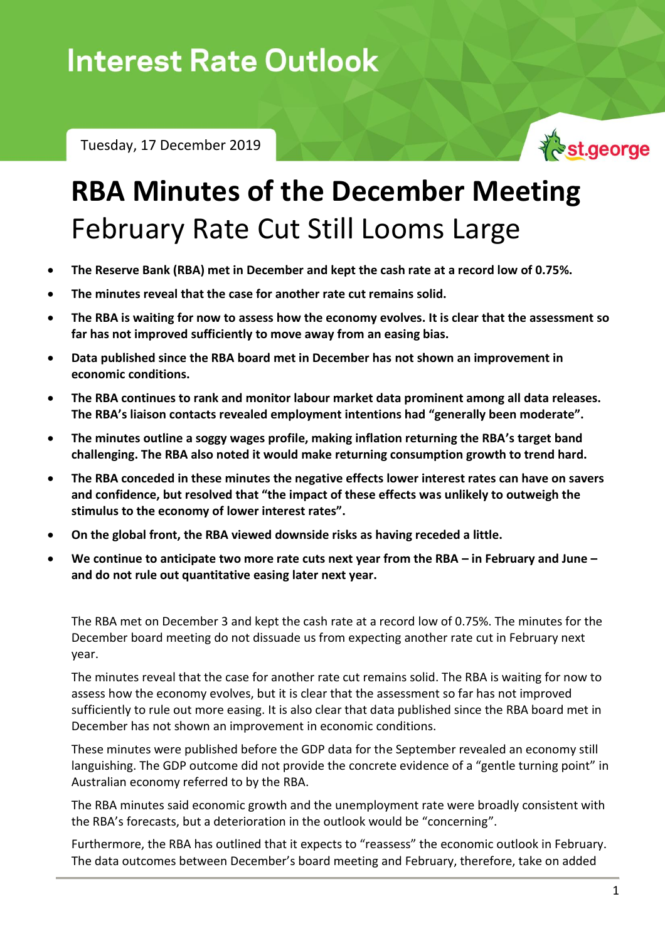## **Interest Rate Outlook**

Tuesday, 17 December 2019



## **RBA Minutes of the December Meeting** February Rate Cut Still Looms Large

- **The Reserve Bank (RBA) met in December and kept the cash rate at a record low of 0.75%.**
- **The minutes reveal that the case for another rate cut remains solid.**
- **The RBA is waiting for now to assess how the economy evolves. It is clear that the assessment so far has not improved sufficiently to move away from an easing bias.**
- **Data published since the RBA board met in December has not shown an improvement in economic conditions.**
- **The RBA continues to rank and monitor labour market data prominent among all data releases. The RBA's liaison contacts revealed employment intentions had "generally been moderate".**
- **The minutes outline a soggy wages profile, making inflation returning the RBA's target band challenging. The RBA also noted it would make returning consumption growth to trend hard.**
- **The RBA conceded in these minutes the negative effects lower interest rates can have on savers and confidence, but resolved that "the impact of these effects was unlikely to outweigh the stimulus to the economy of lower interest rates".**
- **On the global front, the RBA viewed downside risks as having receded a little.**
- **We continue to anticipate two more rate cuts next year from the RBA – in February and June – and do not rule out quantitative easing later next year.**

The RBA met on December 3 and kept the cash rate at a record low of 0.75%. The minutes for the December board meeting do not dissuade us from expecting another rate cut in February next year.

The minutes reveal that the case for another rate cut remains solid. The RBA is waiting for now to assess how the economy evolves, but it is clear that the assessment so far has not improved sufficiently to rule out more easing. It is also clear that data published since the RBA board met in December has not shown an improvement in economic conditions.

These minutes were published before the GDP data for the September revealed an economy still languishing. The GDP outcome did not provide the concrete evidence of a "gentle turning point" in Australian economy referred to by the RBA.

The RBA minutes said economic growth and the unemployment rate were broadly consistent with the RBA's forecasts, but a deterioration in the outlook would be "concerning".

Furthermore, the RBA has outlined that it expects to "reassess" the economic outlook in February. The data outcomes between December's board meeting and February, therefore, take on added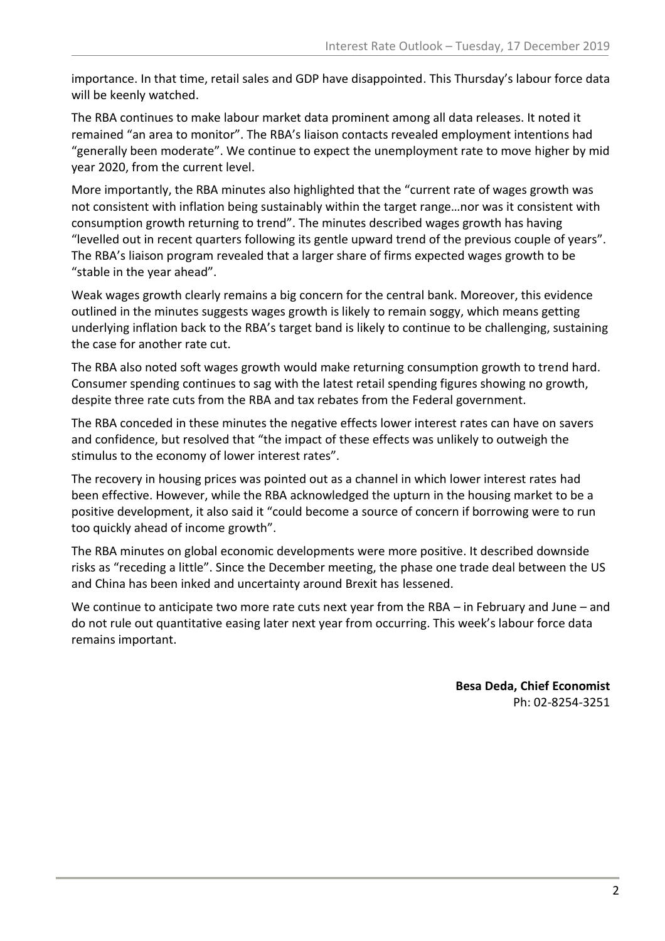importance. In that time, retail sales and GDP have disappointed. This Thursday's labour force data will be keenly watched.

The RBA continues to make labour market data prominent among all data releases. It noted it remained "an area to monitor". The RBA's liaison contacts revealed employment intentions had "generally been moderate". We continue to expect the unemployment rate to move higher by mid year 2020, from the current level.

More importantly, the RBA minutes also highlighted that the "current rate of wages growth was not consistent with inflation being sustainably within the target range…nor was it consistent with consumption growth returning to trend". The minutes described wages growth has having "levelled out in recent quarters following its gentle upward trend of the previous couple of years". The RBA's liaison program revealed that a larger share of firms expected wages growth to be "stable in the year ahead".

Weak wages growth clearly remains a big concern for the central bank. Moreover, this evidence outlined in the minutes suggests wages growth is likely to remain soggy, which means getting underlying inflation back to the RBA's target band is likely to continue to be challenging, sustaining the case for another rate cut.

The RBA also noted soft wages growth would make returning consumption growth to trend hard. Consumer spending continues to sag with the latest retail spending figures showing no growth, despite three rate cuts from the RBA and tax rebates from the Federal government.

The RBA conceded in these minutes the negative effects lower interest rates can have on savers and confidence, but resolved that "the impact of these effects was unlikely to outweigh the stimulus to the economy of lower interest rates".

The recovery in housing prices was pointed out as a channel in which lower interest rates had been effective. However, while the RBA acknowledged the upturn in the housing market to be a positive development, it also said it "could become a source of concern if borrowing were to run too quickly ahead of income growth".

The RBA minutes on global economic developments were more positive. It described downside risks as "receding a little". Since the December meeting, the phase one trade deal between the US and China has been inked and uncertainty around Brexit has lessened.

We continue to anticipate two more rate cuts next year from the RBA – in February and June – and do not rule out quantitative easing later next year from occurring. This week's labour force data remains important.

> **Besa Deda, Chief Economist** Ph: 02-8254-3251